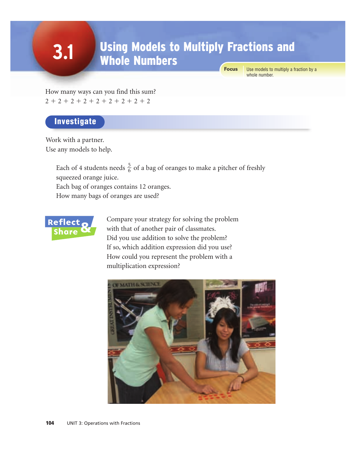# Using Models to Multiply Fractions and Whole Numbers

**Focus**

Use models to multiply a fraction by a whole number.

How many ways can you find this sum?  $2 + 2 + 2 + 2 + 2 + 2 + 2 + 2 + 2$ 

### **Investigate**

**3.1**

Work with a partner. Use any models to help.

> Each of 4 students needs  $\frac{5}{6}$  of a bag of oranges to make a pitcher of freshly squeezed orange juice. Each bag of oranges contains 12 oranges. 6

How many bags of oranges are used?



Compare your strategy for solving the problem with that of another pair of classmates. Did you use addition to solve the problem? If so, which addition expression did you use? How could you represent the problem with a multiplication expression?

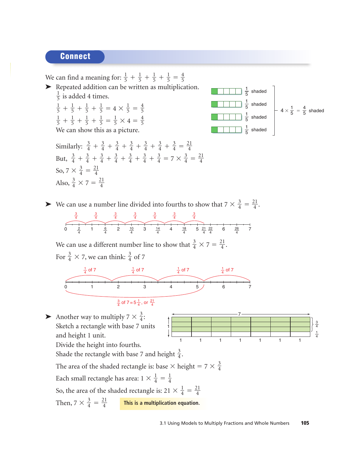#### Connect

We can find a meaning for:  $\frac{1}{5} + \frac{1}{5} + \frac{1}{5} + \frac{1}{5} = \frac{4}{5}$ ➤ Repeated addition can be written as multiplication.  $\frac{1}{5}$  is added 4 times.  $+\frac{1}{5} + \frac{1}{5} + \frac{1}{5} = 4 \times \frac{1}{5} = \frac{4}{5}$  

 $+\frac{1}{5} + \frac{1}{5} + \frac{1}{5} = \frac{1}{5} \times 4 = \frac{4}{5}$ We can show this as a picture. 



Similarly:  $\frac{3}{4} + \frac{3}{4} + \frac{3}{4} + \frac{3}{4} + \frac{3}{4} + \frac{3}{4} + \frac{3}{4} + \frac{3}{4} = \frac{21}{4}$ But,  $\frac{3}{4} + \frac{3}{4} + \frac{3}{4} + \frac{3}{4} + \frac{3}{4} + \frac{3}{4} + \frac{3}{4} = 7 \times \frac{3}{4} = \frac{21}{4}$ So,  $7 \times \frac{3}{4} = \frac{21}{4}$ Also,  $\frac{3}{4} \times 7 = \frac{21}{4}$  

► We can use a number line divided into fourths to show that  $7 \times \frac{3}{4} = \frac{21}{4}$ . 

$$
\begin{array}{c|ccccccccc}\n & \frac{3}{4} & \frac{3}{4} & \frac{3}{4} & \frac{3}{4} & \frac{3}{4} & \frac{3}{4} & \frac{3}{4} \\
\hline\n0 & 2 & 1 & \frac{6}{4} & 2 & \frac{10}{4} & 3 & \frac{14}{4} & 4 & \frac{18}{4} & 5 & \frac{21}{4} & \frac{22}{4} & 6 & \frac{26}{4} & 7\n\end{array}
$$

We can use a different number line to show that  $\frac{3}{4} \times 7 = \frac{21}{4}$ . For  $\frac{3}{4} \times 7$ , we can think:  $\frac{3}{4}$  of 7 



$$
\frac{3}{4}
$$
 of 7 = 5 $\frac{1}{4}$ , or  $\frac{21}{4}$ 

Another way to multiply  $7 \times \frac{3}{4}$ : Sketch a rectangle with base 7 units and height 1 unit. 



Divide the height into fourths.

Shade the rectangle with base 7 and height  $\frac{3}{4}$ . 

The area of the shaded rectangle is: base  $\times$  height = 7  $\times$   $\frac{3}{4}$ 

Each small rectangle has area:  $1 \times \frac{1}{4} = \frac{1}{4}$  

So, the area of the shaded rectangle is:  $21 \times \frac{1}{4} = \frac{21}{4}$  

Then, 
$$
7 \times \frac{3}{4} = \frac{21}{4}
$$
 This is a multiplication equation.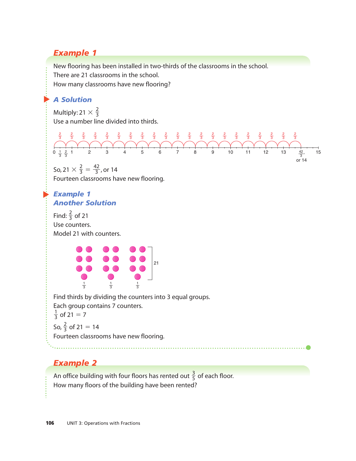## *Example 1*

New flooring has been installed in two-thirds of the classrooms in the school. There are 21 classrooms in the school. How many classrooms have new flooring?

### ▲ *A Solution*

Multiply: 21  $\times$   $\frac{2}{3}$ Use a number line divided into thirds. 



So, 21  $\times \frac{2}{3} = \frac{42}{3}$ , or 14 Fourteen classrooms have new flooring. 

#### ▲ *Example 1 Another Solution*

Find:  $\frac{2}{3}$  of 21 Use counters. Model 21 with counters. 



Find thirds by dividing the counters into 3 equal groups. Each group contains 7 counters.  $\frac{1}{3}$  of 21 = 7 So,  $\frac{2}{3}$  of 21 = 14 Fourteen classrooms have new flooring. 

# *Example 2*

An office building with four floors has rented out  $\frac{3}{5}$  of each floor. How many floors of the building have been rented?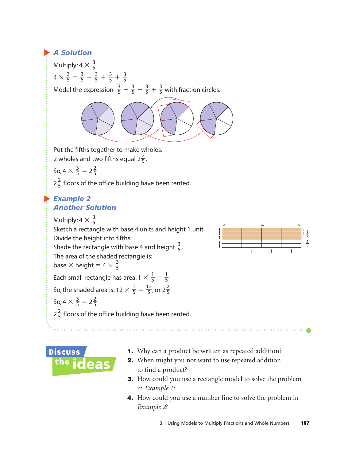#### ▲ *A Solution*

Multiply: 4  $\times$   $\frac{3}{5}$  $4 \times \frac{3}{5} = \frac{3}{5} + \frac{3}{5} + \frac{3}{5} + \frac{3}{5}$ Model the expression  $\frac{3}{5} + \frac{3}{5} + \frac{3}{5} + \frac{3}{5}$  with fraction circles. 5 3 5 3 5 3 5 5 3 5 3 5 3 5 3 5 5



Put the fifths together to make wholes.

2 wholes and two fifths equal  $2\frac{2}{5}$ . 5

So, 4  $\times \frac{3}{5}$  = 2 $\frac{2}{5}$ 5 3 5

 $2\frac{2}{5}$  floors of the office building have been rented. 5

#### ▲ *Example 2 Another Solution*

Multiply: 4  $\times$   $\frac{3}{5}$ Sketch a rectangle with base 4 units and height 1 unit. Divide the height into fifths. Shade the rectangle with base 4 and height  $\frac{3}{5}$ . The area of the shaded rectangle is: base  $\times$  height = 4  $\times \frac{3}{5}$ Each small rectangle has area: 1  $\times \frac{1}{5} = \frac{1}{5}$ So, the shaded area is: 12  $\times \frac{1}{5} = \frac{12}{5}$ , or 2 $\frac{2}{5}$ 5 12 5 1 5 5 1 5 5 5 5

So, 
$$
4 \times \frac{3}{5} = 2\frac{2}{5}
$$

 $2\frac{2}{5}$  floors of the office building have been rented.





- 1. Why can a product be written as repeated addition?
- 2. When might you not want to use repeated addition to find a product?
- 3. How could you use a rectangle model to solve the problem in *Example 1*?
- 4. How could you use a number line to solve the problem in *Example 2*?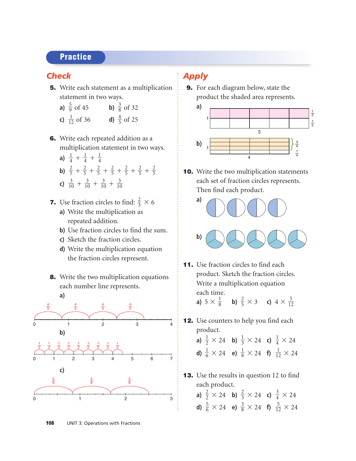#### **Practice**

#### *Check*

5. Write each statement as a multiplication statement in two ways.

**a)** 
$$
\frac{5}{9}
$$
 of 45 **b)**  $\frac{3}{8}$  of 32  
**c)**  $\frac{1}{12}$  of 36 **d)**  $\frac{4}{5}$  of 25

- 6. Write each repeated addition as a multiplication statement in two ways.
	- **a**)  $\frac{1}{4} + \frac{1}{4} + \frac{1}{4}$ **b)**  $\frac{2}{5} + \frac{2}{5} + \frac{2}{5} + \frac{2}{5} + \frac{2}{5} + \frac{2}{5} + \frac{2}{5}$ **c)**  $\frac{3}{10} + \frac{3}{10} + \frac{3}{10} + \frac{3}{10}$
- **7.** Use fraction circles to find:  $\frac{2}{3} \times 6$ 
	- **a)** Write the multiplication as repeated addition.
	- **b)** Use fraction circles to find the sum.
	- **c)** Sketch the fraction circles.
	- **d)** Write the multiplication equation the fraction circles represent.
- **8.** Write the two multiplication equations each number line represents.



# *Apply*

9. For each diagram below, state the product the shaded area represents.



**10.** Write the two multiplication statements each set of fraction circles represents. Then find each product.





11. Use fraction circles to find each product. Sketch the fraction circles. Write a multiplication equation each time.

**a)**  $5 \times \frac{1}{8}$  **b)**  $\frac{2}{5} \times 3$  **c)**  $4 \times \frac{5}{12}$  

12. Use counters to help you find each product.

**a)** 
$$
\frac{1}{2}
$$
 × 24 **b)**  $\frac{1}{3}$  × 24 **c)**  $\frac{1}{4}$  × 24  
**d)**  $\frac{1}{6}$  × 24 **e)**  $\frac{1}{8}$  × 24 **f)**  $\frac{1}{12}$  × 24

- **13.** Use the results in question 12 to find each product.
	- **a)**  $\frac{2}{2} \times 24$  **b)**  $\frac{2}{3} \times 24$  **c)**  $\frac{3}{4} \times 24$ **d)**  $\frac{5}{6} \times 24$  **e)**  $\frac{3}{8} \times 24$  **f)**  $\frac{5}{12} \times 24$